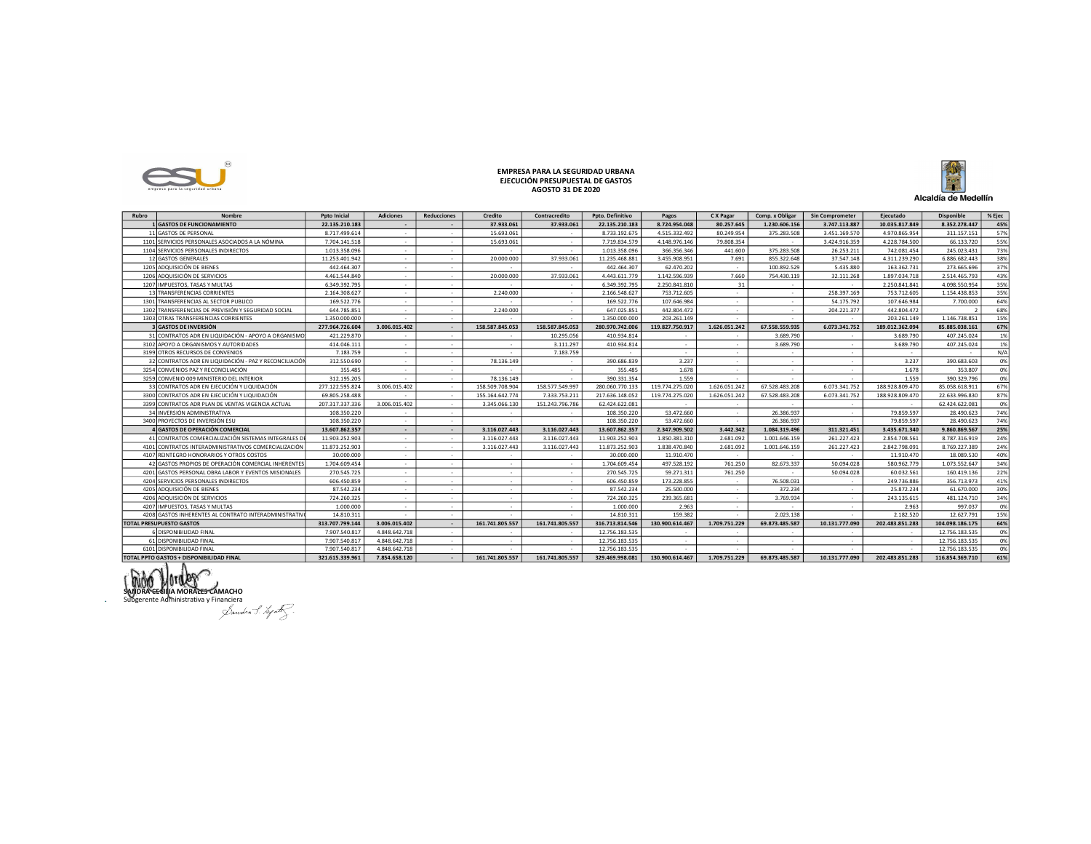

## EMPRESA PARA LA SEGURIDAD URBANA EJECUCIÓN PRESUPUESTAL DE GASTOS AGOSTO 31 DE 2020



|       |                                                                                                             |                                   |                                |             |                                                              | <b>EMPRESA PARA LA SEGURIDAD URBANA</b> |                                    |                                               |                                       |                                                 |                                                          |                                              |                                                          |
|-------|-------------------------------------------------------------------------------------------------------------|-----------------------------------|--------------------------------|-------------|--------------------------------------------------------------|-----------------------------------------|------------------------------------|-----------------------------------------------|---------------------------------------|-------------------------------------------------|----------------------------------------------------------|----------------------------------------------|----------------------------------------------------------|
|       |                                                                                                             |                                   |                                |             | EJECUCIÓN PRESUPUESTAL DE GASTOS<br><b>AGOSTO 31 DE 2020</b> |                                         |                                    |                                               |                                       |                                                 |                                                          |                                              |                                                          |
| Rubro |                                                                                                             | <b>Ppto Inicial</b>               |                                |             | Credito                                                      | Contracredito                           | Ppto. Definitivo                   |                                               |                                       |                                                 |                                                          |                                              | Alcaldía de Medellín                                     |
|       | Nombre<br>1 GASTOS DE FUNCIONAMIENTO<br>11 GASTOS DE PERSONAL                                               | 22.135.210.183<br>8.717.499.614   | Adiciones                      | Reducciones | 37.933.061<br>15.693.061                                     | 37.933.061                              | 22.135.210.183<br>8.733.192.675    | Pagos<br>8.724.954.048<br>4.515.332.492       | C X Pagar<br>80.257.645<br>80.249.954 | Comp. x Obligar<br>1.230.606.156<br>375.283.508 | <b>Sin Comprometer</b><br>3.747.113.887<br>3.451.169.570 | Ejecutado<br>10.035.817.849<br>4.970.865.954 | Disponible<br>% Ejec<br>8.352.278.447 45%<br>311.157.151 |
|       | 1101 SERVICIOS PERSONALES ASOCIADOS A LA NÓMINA                                                             | 7.704.141.518                     |                                |             | 15.693.061                                                   |                                         | 7.719.834.579                      | 4.148.976.146                                 | 79.808.354                            |                                                 | 3.424.916.359                                            | 4.228.784.500                                | 66.133.720                                               |
|       | 1104 SERVICIOS PERSONALES INDIRECTOS<br>12 GASTOS GENERALES                                                 | 1.013.358.096<br>11.253.401.942   |                                |             | 20.000.000                                                   | 37.933.061                              | 1.013.358.096<br>11.235.468.881    | 366.356.346<br>3.455.908.951                  | 441,600<br>7.691                      | 375.283.508<br>855.322.648                      | 26.253.211<br>37.547.148                                 | 742.081.454<br>4.311.239.290                 | 245.023.431<br>6.886.682.443                             |
|       | 1205 ADQUISICIÓN DE BIENES<br>1206 ADQUISICIÓN DE SERVICIOS                                                 | 442.464.307<br>4.461.544.840      |                                |             | 20,000,000                                                   | 37.933.061                              | 442.464.307<br>4.443.611.779       | 62.470.202<br>1.142.596.939                   | 7.660                                 | 100.892.529<br>754.430.119                      | 5.435.880<br>32.111.268                                  | 163.362.731<br>1.897.034.718                 | 273.665.696<br>2.514.465.793                             |
|       | 1207 IMPUESTOS, TASAS Y MULTAS<br>TRANSFERENCIAS CORRIENTES                                                 | 6.349.392.795<br>2.164.308.627    |                                |             | 2.240.000                                                    |                                         | 6.349.392.795<br>2.166.548.627     | 2.250.841.810<br>753.712.605                  | 31                                    |                                                 | 258.397.169                                              | 2.250.841.841<br>753.712.605                 | 4.098.550.954<br>1.154.438.853                           |
|       | 1301 TRANSFERENCIAS AL SECTOR PUBLICO                                                                       | 169.522.776                       |                                |             |                                                              |                                         | 169.522.776                        | 107.646.984                                   |                                       |                                                 | 54.175.792                                               | 107.646.984                                  | 7.700.000<br>$\overline{2}$                              |
|       | 1302 TRANSFERENCIAS DE PREVISIÓN Y SEGURIDAD SOCIAL<br>1303 OTRAS TRANSFERENCIAS CORRIENTES                 | 644.785.851<br>1.350.000.000      |                                |             | 2.240.000                                                    |                                         | 647.025.851<br>1.350.000.000       | 442.804.472<br>203.261.149                    |                                       |                                                 | 204.221.377                                              | 442.804.472<br>203.261.149                   | 1.146.738.851                                            |
|       | <b>3 GASTOS DE INVERSIÓN</b><br>31 CONTRATOS ADR EN LIQUIDACIÓN - APOYO A ORGANISMO                         | 277.964.726.604<br>421.229.870    | 3.006.015.402                  |             | 158.587.845.053                                              | 158.587.845.053<br>10.295.056           | 280.970.742.006<br>410.934.814     | 119.827.750.917                               | 1.626.051.242                         | 67.558.559.935<br>3.689.790                     | 6.073.341.752                                            | 189.012.362.094<br>3.689.790                 | 85.885.038.161<br>407.245.024                            |
|       | 3102 APOYO A ORGANISMOS Y AUTORIDADES<br>3199 OTROS RECURSOS DE CONVENIOS                                   | 414.046.111<br>7.183.759          |                                |             |                                                              | 3.111.297<br>7.183.759                  | 410.934.814                        | $\sim$                                        |                                       | 3.689.790                                       | $\sim$                                                   | 3.689.790                                    | 407.245.024                                              |
|       | 32 CONTRATOS ADR EN LIQUIDACIÓN - PAZ Y RECONCILIACIÓN                                                      | 312.550.690                       |                                |             | 78.136.149                                                   |                                         | 390.686.839                        | 3.237                                         |                                       |                                                 |                                                          | 3.237                                        | 390.683.603                                              |
|       | 3254 CONVENIOS PAZ Y RECONCILIACIÓN<br>3259 CONVENIO 009 MINISTERIO DEL INTERIOR                            | 355.485<br>312.195.205            |                                |             | 78.136.149                                                   |                                         | 355.485<br>390.331.354             | 1.678<br>1.559                                |                                       |                                                 |                                                          | 1.678<br>1.559                               | 353.807<br>390.329.796                                   |
|       | 33 CONTRATOS ADR EN EJECUCIÓN Y LIQUIDACIÓN<br>3300 CONTRATOS ADR EN EJECUCIÓN Y LIQUIDACIÓN                | 277.122.595.824<br>69.805.258.488 | 3.006.015.402                  |             | 158.509.708.904<br>155.164.642.774                           | 158.577.549.997<br>7.333.753.211        | 280.060.770.133<br>217.636.148.052 | 119.774.275.020<br>119.774.275.020            | 1.626.051.242<br>1.626.051.242        | 67.528.483.208<br>67.528.483.208                | 6.073.341.752<br>6.073.341.752                           | 188.928.809.470<br>188.928.809.470           | 85.058.618.911<br>22.633.996.830                         |
|       | 3399 CONTRATOS ADR PLAN DE VENTAS VIGENCIA ACTUAL<br>34 INVERSIÓN ADMINISTRATIVA                            | 207.317.337.336                   | 3.006.015.402                  |             | 3.345.066.130                                                | 151.243.796.786                         | 62.424.622.081                     | 53.472.660                                    |                                       | 26.386.937                                      |                                                          | 79.859.597                                   | 62.424.622.081                                           |
|       | 3400 PROYECTOS DE INVERSIÓN ESU                                                                             | 108.350.220<br>108.350.220        |                                |             |                                                              |                                         | 108.350.220<br>108.350.220         | 53.472.660                                    |                                       | 26.386.937                                      |                                                          | 79.859.597                                   | 28.490.623<br>28.490.623                                 |
|       | 4 GASTOS DE OPERACIÓN COMERCIAL<br>41 CONTRATOS COMERCIALIZACIÓN SISTEMAS INTEGRALES DI                     | 13.607.862.357<br>11.903.252.903  |                                |             | 3.116.027.443<br>3.116.027.443                               | 3.116.027.443<br>3.116.027.443          | 13.607.862.357<br>11.903.252.903   | 2.347.909.502<br>1.850.381.310                | 3.442.342<br>2.681.092                | 1.084.319.496<br>1.001.646.159                  | 311.321.451<br>261.227.423                               | 3.435.671.340<br>2.854.708.561               | 9.860.869.567<br>8.787.316.919                           |
|       | 4101 CONTRATOS INTERADMINISTRATIVOS COMERCIALIZACIÓN<br>4107 REINTEGRO HONORARIOS Y OTROS COSTOS            | 11.873.252.903<br>30.000.000      |                                |             | 3.116.027.443                                                | 3.116.027.443                           | 11.873.252.903<br>30,000,000       | 1.838.470.840<br>11.910.470                   | 2.681.092                             | 1.001.646.159                                   | 261.227.423                                              | 2.842.798.091<br>11.910.470                  | 8.769.227.389<br>18.089.530                              |
|       | 42 GASTOS PROPIOS DE OPERACIÓN COMERCIAL INHERENTES<br>4201 GASTOS PERSONAL OBRA LABOR Y EVENTOS MISIONALES | 1.704.609.454<br>270.545.725      |                                |             |                                                              |                                         | 1.704.609.454<br>270.545.725       | 497.528.192<br>59.271.311                     | 761.250<br>761.250                    | 82.673.337                                      | 50.094.028<br>50.094.028                                 | 580.962.779<br>60.032.561                    | 1.073.552.647<br>160.419.136                             |
|       | 4204 SERVICIOS PERSONALES INDIRECTOS                                                                        | 606.450.859<br>87.542.234         |                                |             |                                                              | $\sim$                                  | 606.450.859<br>87.542.234          | 173.228.855<br>25.500.000                     |                                       | 76.508.031<br>372.234                           | $\sim$                                                   | 249.736.886<br>25.872.234                    | 356.713.973<br>61.670.000                                |
|       |                                                                                                             |                                   |                                |             |                                                              |                                         | 724.260.325                        | 239.365.681                                   |                                       | 3.769.934                                       |                                                          | 243.135.615                                  | 481.124.710                                              |
|       | 4205 ADQUISICIÓN DE BIENES<br>4206 ADQUISICIÓN DE SERVICIOS                                                 | 724.260.325                       |                                |             |                                                              |                                         |                                    |                                               |                                       |                                                 |                                                          |                                              |                                                          |
|       | 4207 IMPUESTOS, TASAS Y MULTAS<br>4208 GASTOS INHERENTES AL CONTRATO INTERADMINISTRATIV                     | 1.000.000<br>14.810.311           |                                |             |                                                              |                                         | 1.000.000<br>14.810.311            | 2.963<br>159.382                              |                                       | 2.023.138                                       |                                                          | 2.963<br>2.182.520                           | 997.037<br>12.627.791                                    |
|       | TOTAL PRESUPUESTO GASTOS                                                                                    | 313.707.799.144<br>7.907.540.817  | 3.006.015.402<br>4.848.642.718 |             | 161.741.805.557                                              | 161.741.805.557                         | 12.756.183.535                     | 316.713.814.546 130.900.614.467 1.709.751.229 |                                       | 69.873.485.587                                  | 10.131.777.090                                           | 202.483.851.283                              | 104.098.186.175<br>12.756.183.535                        |
|       | 6 DISPONIBILIDAD FINAL<br>61 DISPONIBILIDAD FINAL<br>6101 DISPONIBILIDAD FINAL                              | 7.907.540.817<br>7.907.540.817    | 4.848.642.718<br>4.848.642.718 |             |                                                              |                                         | 12.756.183.535<br>12.756.183.535   |                                               |                                       |                                                 |                                                          |                                              | 12.756.183.535<br>12.756.183.535                         |

**SAJIDRA CECILIA MORALES CAMACHO**<br>Subgerente Administrativa y Financiera

 $\omega$